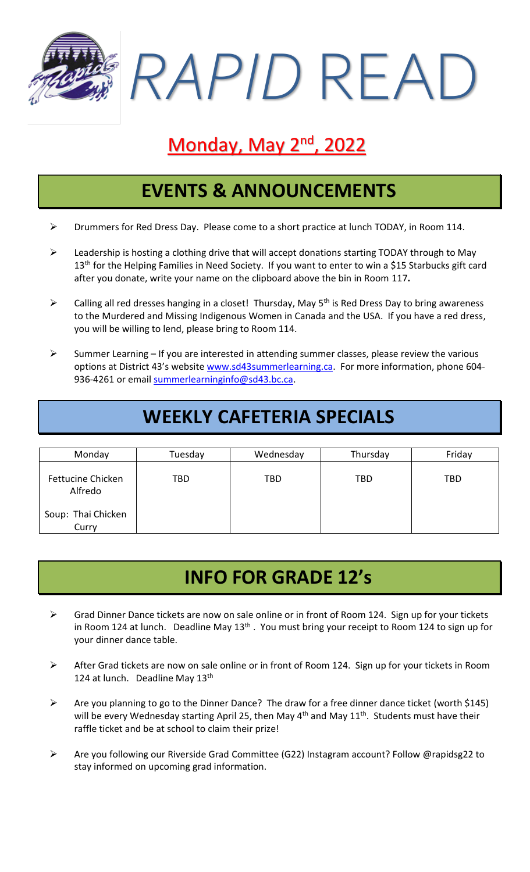*RAPID* READ

# Monday, May 2<sup>nd</sup>, 2022

#### **EVENTS & ANNOUNCEMENTS**

- ➢ Drummers for Red Dress Day. Please come to a short practice at lunch TODAY, in Room 114.
- ➢ Leadership is hosting a clothing drive that will accept donations starting TODAY through to May 13<sup>th</sup> for the Helping Families in Need Society. If you want to enter to win a \$15 Starbucks gift card after you donate, write your name on the clipboard above the bin in Room 117**.**
- $\triangleright$  Calling all red dresses hanging in a closet! Thursday, May 5<sup>th</sup> is Red Dress Day to bring awareness to the Murdered and Missing Indigenous Women in Canada and the USA. If you have a red dress, you will be willing to lend, please bring to Room 114.
- $\triangleright$  Summer Learning If you are interested in attending summer classes, please review the various options at District 43's website [www.sd43summerlearning.ca.](http://www.sd43summerlearning.ca/) For more information, phone 604936-4261 or email [summerlearninginfo@sd43.bc.ca.](mailto:summerlearninginfo@sd43.bc.ca)

## **WEEKLY CAFETERIA SPECIALS**

| Monday                              | Tuesday | Wednesday | Thursday | Friday     |
|-------------------------------------|---------|-----------|----------|------------|
| <b>Fettucine Chicken</b><br>Alfredo | TBD     | TBD       | TBD      | <b>TBD</b> |
| Soup: Thai Chicken<br>Curry         |         |           |          |            |

## **INFO FOR GRADE 12's**

- ➢ Grad Dinner Dance tickets are now on sale online or in front of Room 124. Sign up for your tickets in Room 124 at lunch. Deadline May 13<sup>th</sup>. You must bring your receipt to Room 124 to sign up for your dinner dance table.
- ➢ After Grad tickets are now on sale online or in front of Room 124. Sign up for your tickets in Room 124 at lunch. Deadline May 13<sup>th</sup>
- ➢ Are you planning to go to the Dinner Dance? The draw for a free dinner dance ticket (worth \$145) will be every Wednesday starting April 25, then May  $4<sup>th</sup>$  and May  $11<sup>th</sup>$ . Students must have their raffle ticket and be at school to claim their prize!
- ➢ Are you following our Riverside Grad Committee (G22) Instagram account? Follow @rapidsg22 to stay informed on upcoming grad information.